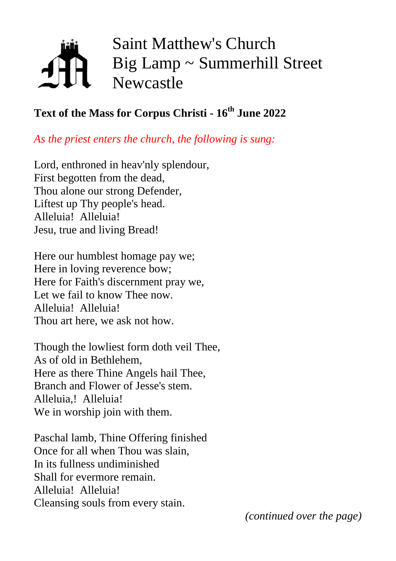# Saint Matthew's Church Big Lamp ~ Summerhill Street Newcastle

## **Text of the Mass for Corpus Christi - 16th June 2022**

*As the priest enters the church, the following is sung:*

Lord, enthroned in heav'nly splendour, First begotten from the dead, Thou alone our strong Defender, Liftest up Thy people's head. Alleluia! Alleluia! Jesu, true and living Bread!

Here our humblest homage pay we; Here in loving reverence bow; Here for Faith's discernment pray we, Let we fail to know Thee now. Alleluia! Alleluia! Thou art here, we ask not how.

Though the lowliest form doth veil Thee, As of old in Bethlehem, Here as there Thine Angels hail Thee, Branch and Flower of Jesse's stem. Alleluia,! Alleluia! We in worship join with them.

Paschal lamb, Thine Offering finished Once for all when Thou was slain, In its fullness undiminished Shall for evermore remain. Alleluia! Alleluia! Cleansing souls from every stain.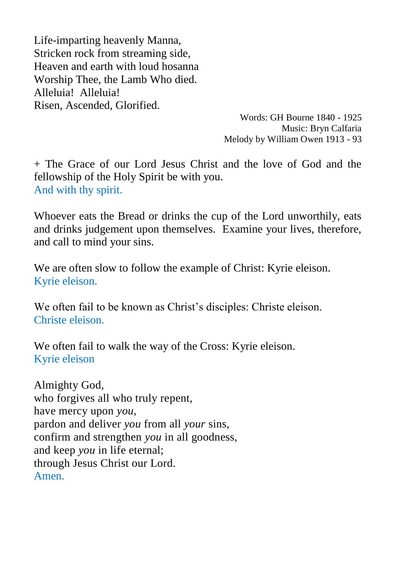Life-imparting heavenly Manna, Stricken rock from streaming side, Heaven and earth with loud hosanna Worship Thee, the Lamb Who died. Alleluia! Alleluia! Risen, Ascended, Glorified.

> Words: GH Bourne 1840 - 1925 Music: Bryn Calfaria Melody by William Owen 1913 - 93

+ The Grace of our Lord Jesus Christ and the love of God and the fellowship of the Holy Spirit be with you. And with thy spirit.

Whoever eats the Bread or drinks the cup of the Lord unworthily, eats and drinks judgement upon themselves. Examine your lives, therefore, and call to mind your sins.

We are often slow to follow the example of Christ: Kyrie eleison. Kyrie eleison.

We often fail to be known as Christ's disciples: Christe eleison. Christe eleison.

We often fail to walk the way of the Cross: Kyrie eleison. Kyrie eleison

Almighty God, who forgives all who truly repent, have mercy upon *you*, pardon and deliver *you* from all *your* sins, confirm and strengthen *you* in all goodness, and keep *you* in life eternal; through Jesus Christ our Lord. Amen.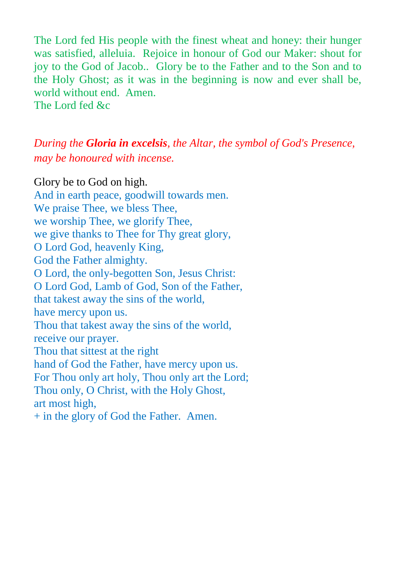The Lord fed His people with the finest wheat and honey: their hunger was satisfied, alleluia. Rejoice in honour of God our Maker: shout for joy to the God of Jacob.. Glory be to the Father and to the Son and to the Holy Ghost; as it was in the beginning is now and ever shall be, world without end. Amen. The Lord fed  $&c$ 

### *During the Gloria in excelsis, the Altar, the symbol of God's Presence, may be honoured with incense.*

Glory be to God on high. And in earth peace, goodwill towards men. We praise Thee, we bless Thee, we worship Thee, we glorify Thee, we give thanks to Thee for Thy great glory, O Lord God, heavenly King, God the Father almighty. O Lord, the only-begotten Son, Jesus Christ: O Lord God, Lamb of God, Son of the Father, that takest away the sins of the world, have mercy upon us. Thou that takest away the sins of the world, receive our prayer. Thou that sittest at the right hand of God the Father, have mercy upon us. For Thou only art holy, Thou only art the Lord; Thou only, O Christ, with the Holy Ghost, art most high, + in the glory of God the Father. Amen.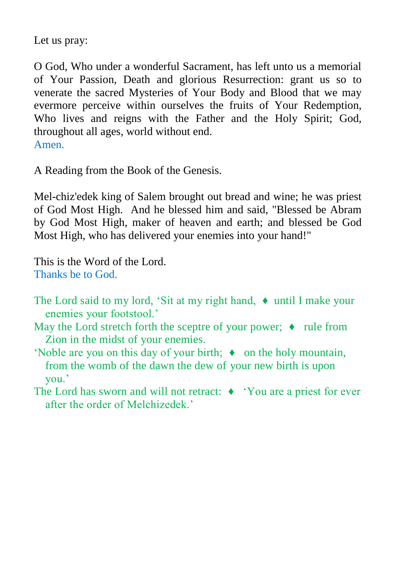Let us pray:

O God, Who under a wonderful Sacrament, has left unto us a memorial of Your Passion, Death and glorious Resurrection: grant us so to venerate the sacred Mysteries of Your Body and Blood that we may evermore perceive within ourselves the fruits of Your Redemption, Who lives and reigns with the Father and the Holy Spirit; God, throughout all ages, world without end. Amen.

A Reading from the Book of the Genesis.

Mel-chiz'edek king of Salem brought out bread and wine; he was priest of God Most High. And he blessed him and said, "Blessed be Abram by God Most High, maker of heaven and earth; and blessed be God Most High, who has delivered your enemies into your hand!"

This is the Word of the Lord. Thanks be to God.

- The Lord said to my lord, 'Sit at my right hand, ♦ until I make your enemies your footstool.'
- May the Lord stretch forth the sceptre of your power;  $\bullet$  rule from Zion in the midst of your enemies.
- 'Noble are you on this day of your birth; ♦ on the holy mountain, from the womb of the dawn the dew of your new birth is upon you.'
- The Lord has sworn and will not retract: ♦ 'You are a priest for ever after the order of Melchizedek.'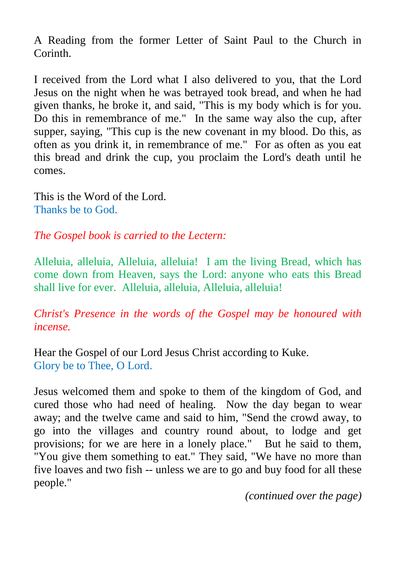A Reading from the former Letter of Saint Paul to the Church in Corinth.

I received from the Lord what I also delivered to you, that the Lord Jesus on the night when he was betrayed took bread, and when he had given thanks, he broke it, and said, "This is my body which is for you. Do this in remembrance of me." In the same way also the cup, after supper, saying, "This cup is the new covenant in my blood. Do this, as often as you drink it, in remembrance of me." For as often as you eat this bread and drink the cup, you proclaim the Lord's death until he comes.

This is the Word of the Lord. Thanks be to God.

*The Gospel book is carried to the Lectern:*

Alleluia, alleluia, Alleluia, alleluia! I am the living Bread, which has come down from Heaven, says the Lord: anyone who eats this Bread shall live for ever. Alleluia, alleluia, Alleluia, alleluia!

*Christ's Presence in the words of the Gospel may be honoured with incense.*

Hear the Gospel of our Lord Jesus Christ according to Kuke. Glory be to Thee, O Lord.

Jesus welcomed them and spoke to them of the kingdom of God, and cured those who had need of healing. Now the day began to wear away; and the twelve came and said to him, "Send the crowd away, to go into the villages and country round about, to lodge and get provisions; for we are here in a lonely place." But he said to them, "You give them something to eat." They said, "We have no more than five loaves and two fish -- unless we are to go and buy food for all these people."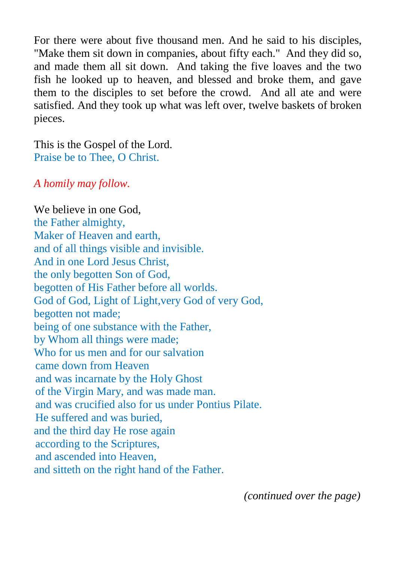For there were about five thousand men. And he said to his disciples, "Make them sit down in companies, about fifty each." And they did so, and made them all sit down. And taking the five loaves and the two fish he looked up to heaven, and blessed and broke them, and gave them to the disciples to set before the crowd. And all ate and were satisfied. And they took up what was left over, twelve baskets of broken pieces.

This is the Gospel of the Lord. Praise be to Thee, O Christ.

#### *A homily may follow.*

We believe in one God, the Father almighty, Maker of Heaven and earth, and of all things visible and invisible. And in one Lord Jesus Christ, the only begotten Son of God, begotten of His Father before all worlds. God of God, Light of Light,very God of very God, begotten not made; being of one substance with the Father, by Whom all things were made; Who for us men and for our salvation came down from Heaven and was incarnate by the Holy Ghost of the Virgin Mary, and was made man. and was crucified also for us under Pontius Pilate. He suffered and was buried, and the third day He rose again according to the Scriptures, and ascended into Heaven, and sitteth on the right hand of the Father.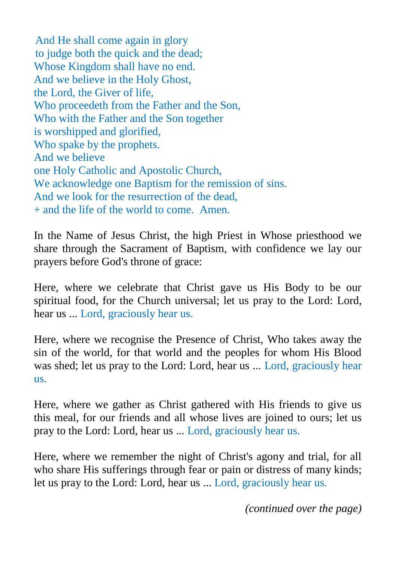And He shall come again in glory to judge both the quick and the dead; Whose Kingdom shall have no end. And we believe in the Holy Ghost, the Lord, the Giver of life, Who proceedeth from the Father and the Son, Who with the Father and the Son together is worshipped and glorified, Who spake by the prophets. And we believe one Holy Catholic and Apostolic Church, We acknowledge one Baptism for the remission of sins. And we look for the resurrection of the dead, + and the life of the world to come. Amen.

In the Name of Jesus Christ, the high Priest in Whose priesthood we share through the Sacrament of Baptism, with confidence we lay our prayers before God's throne of grace:

Here, where we celebrate that Christ gave us His Body to be our spiritual food, for the Church universal; let us pray to the Lord: Lord, hear us ... Lord, graciously hear us.

Here, where we recognise the Presence of Christ, Who takes away the sin of the world, for that world and the peoples for whom His Blood was shed; let us pray to the Lord: Lord, hear us ... Lord, graciously hear us.

Here, where we gather as Christ gathered with His friends to give us this meal, for our friends and all whose lives are joined to ours; let us pray to the Lord: Lord, hear us ... Lord, graciously hear us.

Here, where we remember the night of Christ's agony and trial, for all who share His sufferings through fear or pain or distress of many kinds; let us pray to the Lord: Lord, hear us ... Lord, graciously hear us.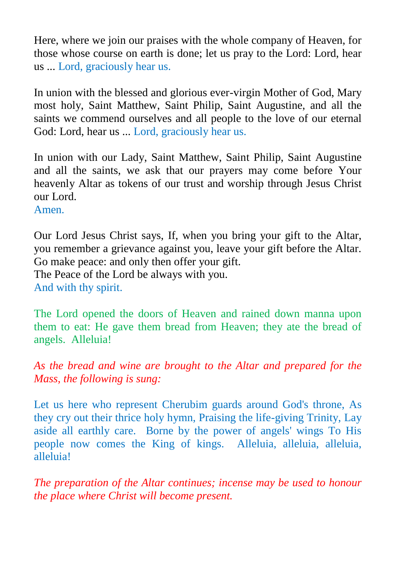Here, where we join our praises with the whole company of Heaven, for those whose course on earth is done; let us pray to the Lord: Lord, hear us ... Lord, graciously hear us.

In union with the blessed and glorious ever-virgin Mother of God, Mary most holy, Saint Matthew, Saint Philip, Saint Augustine, and all the saints we commend ourselves and all people to the love of our eternal God: Lord, hear us ... Lord, graciously hear us.

In union with our Lady, Saint Matthew, Saint Philip, Saint Augustine and all the saints, we ask that our prayers may come before Your heavenly Altar as tokens of our trust and worship through Jesus Christ our Lord.

Amen.

Our Lord Jesus Christ says, If, when you bring your gift to the Altar, you remember a grievance against you, leave your gift before the Altar. Go make peace: and only then offer your gift. The Peace of the Lord be always with you. And with thy spirit.

The Lord opened the doors of Heaven and rained down manna upon them to eat: He gave them bread from Heaven; they ate the bread of angels. Alleluia!

*As the bread and wine are brought to the Altar and prepared for the Mass, the following is sung:*

Let us here who represent Cherubim guards around God's throne, As they cry out their thrice holy hymn, Praising the life-giving Trinity, Lay aside all earthly care. Borne by the power of angels' wings To His people now comes the King of kings. Alleluia, alleluia, alleluia, alleluia!

*The preparation of the Altar continues; incense may be used to honour the place where Christ will become present.*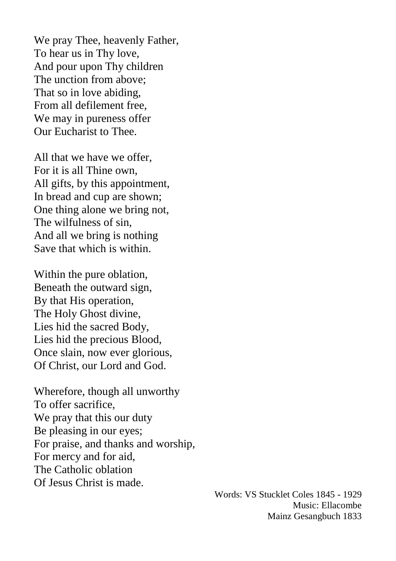We pray Thee, heavenly Father, To hear us in Thy love, And pour upon Thy children The unction from above; That so in love abiding, From all defilement free, We may in pureness offer Our Eucharist to Thee.

All that we have we offer, For it is all Thine own, All gifts, by this appointment, In bread and cup are shown; One thing alone we bring not, The wilfulness of sin, And all we bring is nothing Save that which is within.

Within the pure oblation, Beneath the outward sign, By that His operation, The Holy Ghost divine, Lies hid the sacred Body, Lies hid the precious Blood, Once slain, now ever glorious, Of Christ, our Lord and God.

Wherefore, though all unworthy To offer sacrifice, We pray that this our duty Be pleasing in our eyes; For praise, and thanks and worship, For mercy and for aid, The Catholic oblation Of Jesus Christ is made.

Words: VS Stucklet Coles 1845 - 1929 Music: Ellacombe Mainz Gesangbuch 1833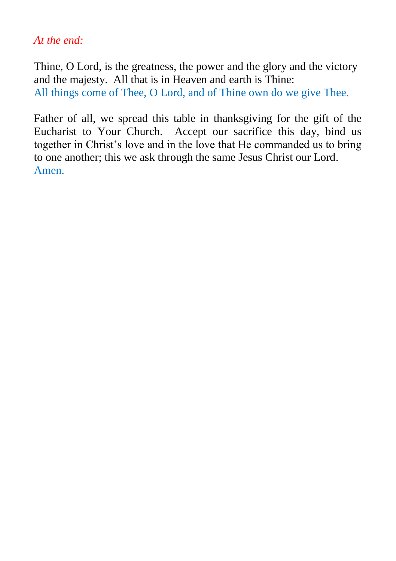#### *At the end:*

Thine, O Lord, is the greatness, the power and the glory and the victory and the majesty. All that is in Heaven and earth is Thine: All things come of Thee, O Lord, and of Thine own do we give Thee.

Father of all, we spread this table in thanksgiving for the gift of the Eucharist to Your Church. Accept our sacrifice this day, bind us together in Christ's love and in the love that He commanded us to bring to one another; this we ask through the same Jesus Christ our Lord. Amen.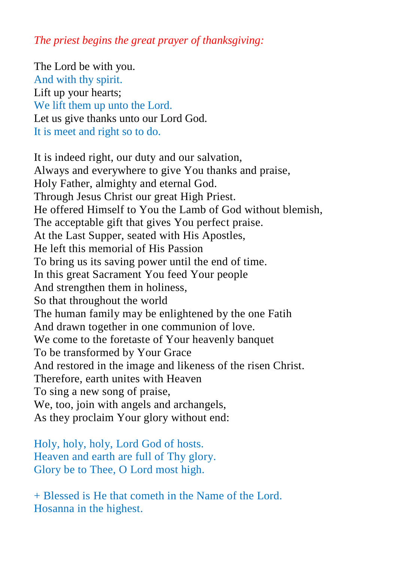*The priest begins the great prayer of thanksgiving:*

The Lord be with you. And with thy spirit. Lift up your hearts; We lift them up unto the Lord. Let us give thanks unto our Lord God. It is meet and right so to do.

It is indeed right, our duty and our salvation, Always and everywhere to give You thanks and praise, Holy Father, almighty and eternal God. Through Jesus Christ our great High Priest. He offered Himself to You the Lamb of God without blemish, The acceptable gift that gives You perfect praise. At the Last Supper, seated with His Apostles, He left this memorial of His Passion To bring us its saving power until the end of time. In this great Sacrament You feed Your people And strengthen them in holiness, So that throughout the world The human family may be enlightened by the one Fatih And drawn together in one communion of love. We come to the foretaste of Your heavenly banquet To be transformed by Your Grace And restored in the image and likeness of the risen Christ. Therefore, earth unites with Heaven To sing a new song of praise, We, too, join with angels and archangels, As they proclaim Your glory without end:

Holy, holy, holy, Lord God of hosts. Heaven and earth are full of Thy glory. Glory be to Thee, O Lord most high.

+ Blessed is He that cometh in the Name of the Lord. Hosanna in the highest.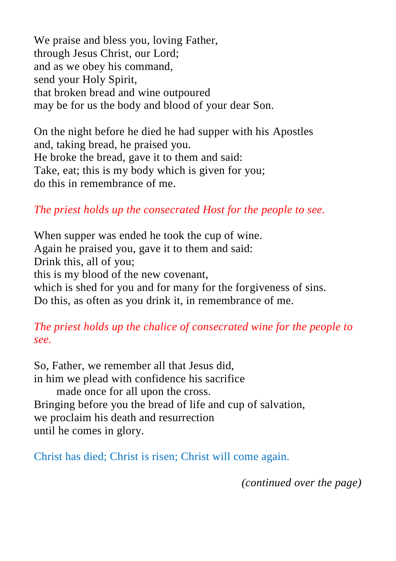We praise and bless you, loving Father, through Jesus Christ, our Lord; and as we obey his command, send your Holy Spirit, that broken bread and wine outpoured may be for us the body and blood of your dear Son.

On the night before he died he had supper with his Apostles and, taking bread, he praised you. He broke the bread, gave it to them and said: Take, eat; this is my body which is given for you; do this in remembrance of me.

*The priest holds up the consecrated Host for the people to see.*

When supper was ended he took the cup of wine. Again he praised you, gave it to them and said: Drink this, all of you; this is my blood of the new covenant, which is shed for you and for many for the forgiveness of sins. Do this, as often as you drink it, in remembrance of me.

*The priest holds up the chalice of consecrated wine for the people to see.*

So, Father, we remember all that Jesus did, in him we plead with confidence his sacrifice made once for all upon the cross. Bringing before you the bread of life and cup of salvation, we proclaim his death and resurrection until he comes in glory.

Christ has died; Christ is risen; Christ will come again.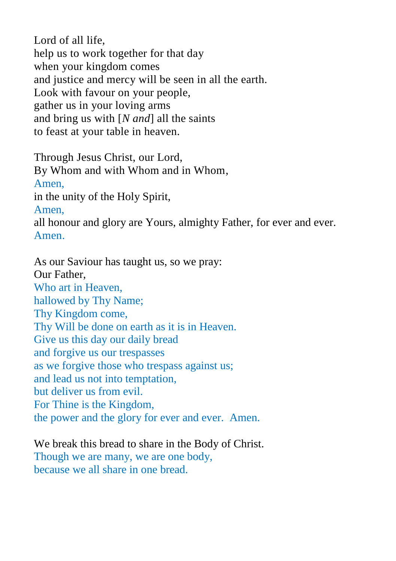Lord of all life, help us to work together for that day when your kingdom comes and justice and mercy will be seen in all the earth. Look with favour on your people, gather us in your loving arms and bring us with [*N and*] all the saints to feast at your table in heaven.

Through Jesus Christ, our Lord, By Whom and with Whom and in Whom, Amen, in the unity of the Holy Spirit, Amen, all honour and glory are Yours, almighty Father, for ever and ever. Amen.

As our Saviour has taught us, so we pray: Our Father, Who art in Heaven, hallowed by Thy Name; Thy Kingdom come, Thy Will be done on earth as it is in Heaven. Give us this day our daily bread and forgive us our trespasses as we forgive those who trespass against us; and lead us not into temptation, but deliver us from evil. For Thine is the Kingdom, the power and the glory for ever and ever. Amen.

#### We break this bread to share in the Body of Christ.

Though we are many, we are one body, because we all share in one bread.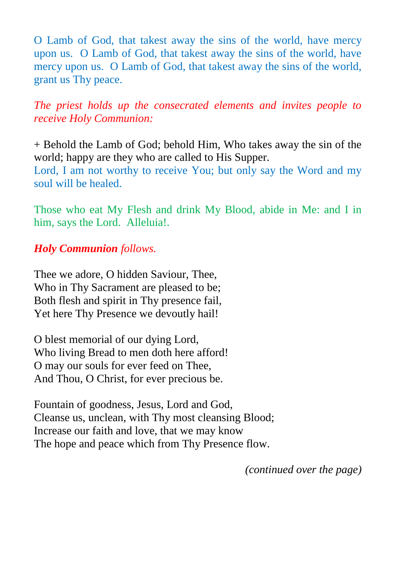O Lamb of God, that takest away the sins of the world, have mercy upon us. O Lamb of God, that takest away the sins of the world, have mercy upon us. O Lamb of God, that takest away the sins of the world, grant us Thy peace.

*The priest holds up the consecrated elements and invites people to receive Holy Communion:*

+ Behold the Lamb of God; behold Him, Who takes away the sin of the world; happy are they who are called to His Supper.

Lord, I am not worthy to receive You; but only say the Word and my soul will be healed.

Those who eat My Flesh and drink My Blood, abide in Me: and I in him, says the Lord. Alleluia!.

#### *Holy Communion follows.*

Thee we adore, O hidden Saviour, Thee, Who in Thy Sacrament are pleased to be; Both flesh and spirit in Thy presence fail, Yet here Thy Presence we devoutly hail!

O blest memorial of our dying Lord, Who living Bread to men doth here afford! O may our souls for ever feed on Thee, And Thou, O Christ, for ever precious be.

Fountain of goodness, Jesus, Lord and God, Cleanse us, unclean, with Thy most cleansing Blood; Increase our faith and love, that we may know The hope and peace which from Thy Presence flow.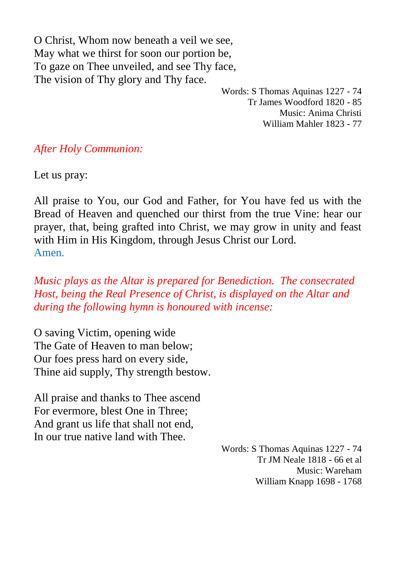O Christ, Whom now beneath a veil we see, May what we thirst for soon our portion be, To gaze on Thee unveiled, and see Thy face, The vision of Thy glory and Thy face.

> Words: S Thomas Aquinas 1227 - 74 Tr James Woodford 1820 - 85 Music: Anima Christi William Mahler 1823 - 77

*After Holy Communion:*

Let us pray:

All praise to You, our God and Father, for You have fed us with the Bread of Heaven and quenched our thirst from the true Vine: hear our prayer, that, being grafted into Christ, we may grow in unity and feast with Him in His Kingdom, through Jesus Christ our Lord. Amen.

*Music plays as the Altar is prepared for Benediction. The consecrated Host, being the Real Presence of Christ, is displayed on the Altar and during the following hymn is honoured with incense:*

O saving Victim, opening wide The Gate of Heaven to man below; Our foes press hard on every side, Thine aid supply, Thy strength bestow.

All praise and thanks to Thee ascend For evermore, blest One in Three; And grant us life that shall not end, In our true native land with Thee.

> Words: S Thomas Aquinas 1227 - 74 Tr JM Neale 1818 - 66 et al Music: Wareham William Knapp 1698 - 1768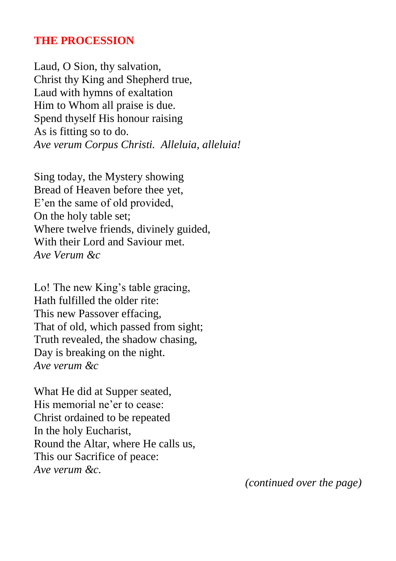#### **THE PROCESSION**

Laud, O Sion, thy salvation, Christ thy King and Shepherd true, Laud with hymns of exaltation Him to Whom all praise is due. Spend thyself His honour raising As is fitting so to do. *Ave verum Corpus Christi. Alleluia, alleluia!*

Sing today, the Mystery showing Bread of Heaven before thee yet, E'en the same of old provided, On the holy table set; Where twelve friends, divinely guided, With their Lord and Saviour met. *Ave Verum &c*

Lo! The new King's table gracing, Hath fulfilled the older rite: This new Passover effacing, That of old, which passed from sight; Truth revealed, the shadow chasing, Day is breaking on the night. *Ave verum &c*

What He did at Supper seated, His memorial ne'er to cease: Christ ordained to be repeated In the holy Eucharist, Round the Altar, where He calls us, This our Sacrifice of peace: *Ave verum &c.*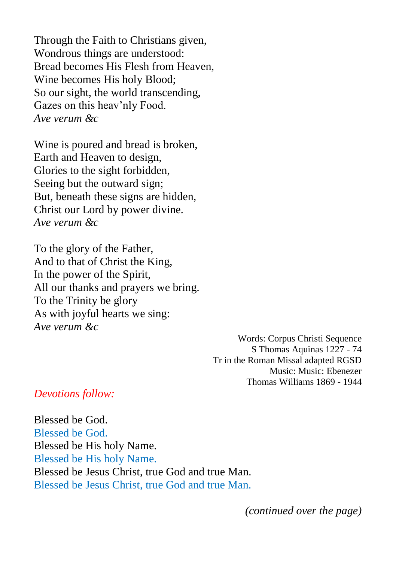Through the Faith to Christians given, Wondrous things are understood: Bread becomes His Flesh from Heaven, Wine becomes His holy Blood; So our sight, the world transcending, Gazes on this heav'nly Food. *Ave verum &c*

Wine is poured and bread is broken, Earth and Heaven to design, Glories to the sight forbidden, Seeing but the outward sign; But, beneath these signs are hidden, Christ our Lord by power divine. *Ave verum &c*

To the glory of the Father, And to that of Christ the King, In the power of the Spirit, All our thanks and prayers we bring. To the Trinity be glory As with joyful hearts we sing: *Ave verum &c*

> Words: Corpus Christi Sequence S Thomas Aquinas 1227 - 74 Tr in the Roman Missal adapted RGSD Music: Music: Ebenezer Thomas Williams 1869 - 1944

#### *Devotions follow:*

Blessed be God. Blessed be God. Blessed be His holy Name. Blessed be His holy Name. Blessed be Jesus Christ, true God and true Man. Blessed be Jesus Christ, true God and true Man.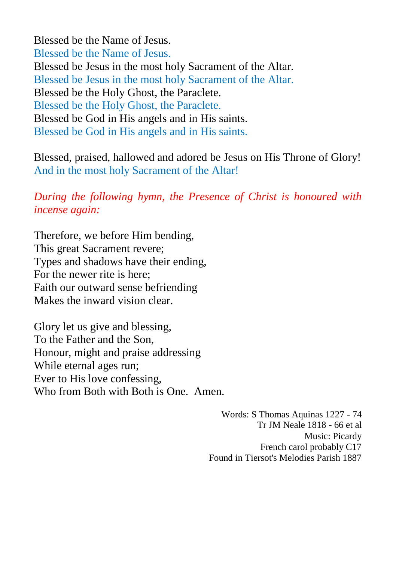Blessed be the Name of Jesus. Blessed be the Name of Jesus. Blessed be Jesus in the most holy Sacrament of the Altar. Blessed be Jesus in the most holy Sacrament of the Altar. Blessed be the Holy Ghost, the Paraclete. Blessed be the Holy Ghost, the Paraclete. Blessed be God in His angels and in His saints. Blessed be God in His angels and in His saints.

Blessed, praised, hallowed and adored be Jesus on His Throne of Glory! And in the most holy Sacrament of the Altar!

*During the following hymn, the Presence of Christ is honoured with incense again:*

Therefore, we before Him bending, This great Sacrament revere; Types and shadows have their ending, For the newer rite is here; Faith our outward sense befriending Makes the inward vision clear.

Glory let us give and blessing, To the Father and the Son, Honour, might and praise addressing While eternal ages run; Ever to His love confessing, Who from Both with Both is One. Amen.

> Words: S Thomas Aquinas 1227 - 74 Tr JM Neale 1818 - 66 et al Music: Picardy French carol probably C17 Found in Tiersot's Melodies Parish 1887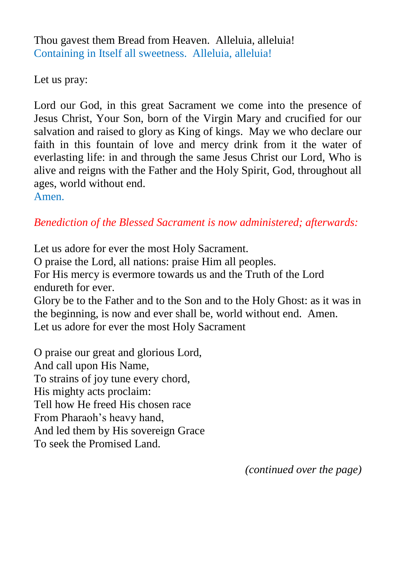Thou gavest them Bread from Heaven. Alleluia, alleluia! Containing in Itself all sweetness. Alleluia, alleluia!

Let us pray:

Lord our God, in this great Sacrament we come into the presence of Jesus Christ, Your Son, born of the Virgin Mary and crucified for our salvation and raised to glory as King of kings. May we who declare our faith in this fountain of love and mercy drink from it the water of everlasting life: in and through the same Jesus Christ our Lord, Who is alive and reigns with the Father and the Holy Spirit, God, throughout all ages, world without end. Amen.

*Benediction of the Blessed Sacrament is now administered; afterwards:*

Let us adore for ever the most Holy Sacrament.

O praise the Lord, all nations: praise Him all peoples.

For His mercy is evermore towards us and the Truth of the Lord endureth for ever.

Glory be to the Father and to the Son and to the Holy Ghost: as it was in the beginning, is now and ever shall be, world without end. Amen. Let us adore for ever the most Holy Sacrament

O praise our great and glorious Lord, And call upon His Name, To strains of joy tune every chord, His mighty acts proclaim: Tell how He freed His chosen race From Pharaoh's heavy hand, And led them by His sovereign Grace To seek the Promised Land.